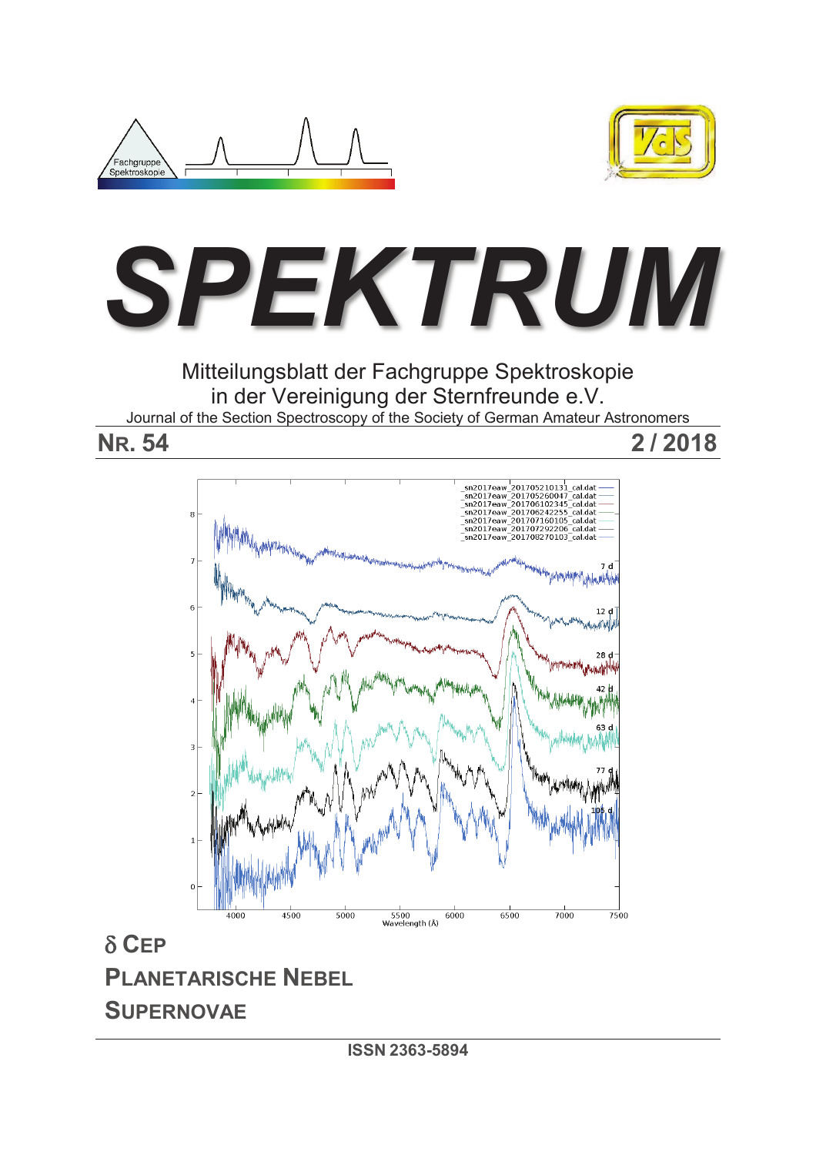





Mitteilungsblatt der Fachgruppe Spektroskopie in der Vereinigung der Sternfreunde e.V. Journal of the Section Spectroscopy of the Society of German Amateur Astronomers

**NR. 54 2 / 2018** 



 $\delta$  **CEP PLANETARISCHE NEBEL SUPERNOVAE**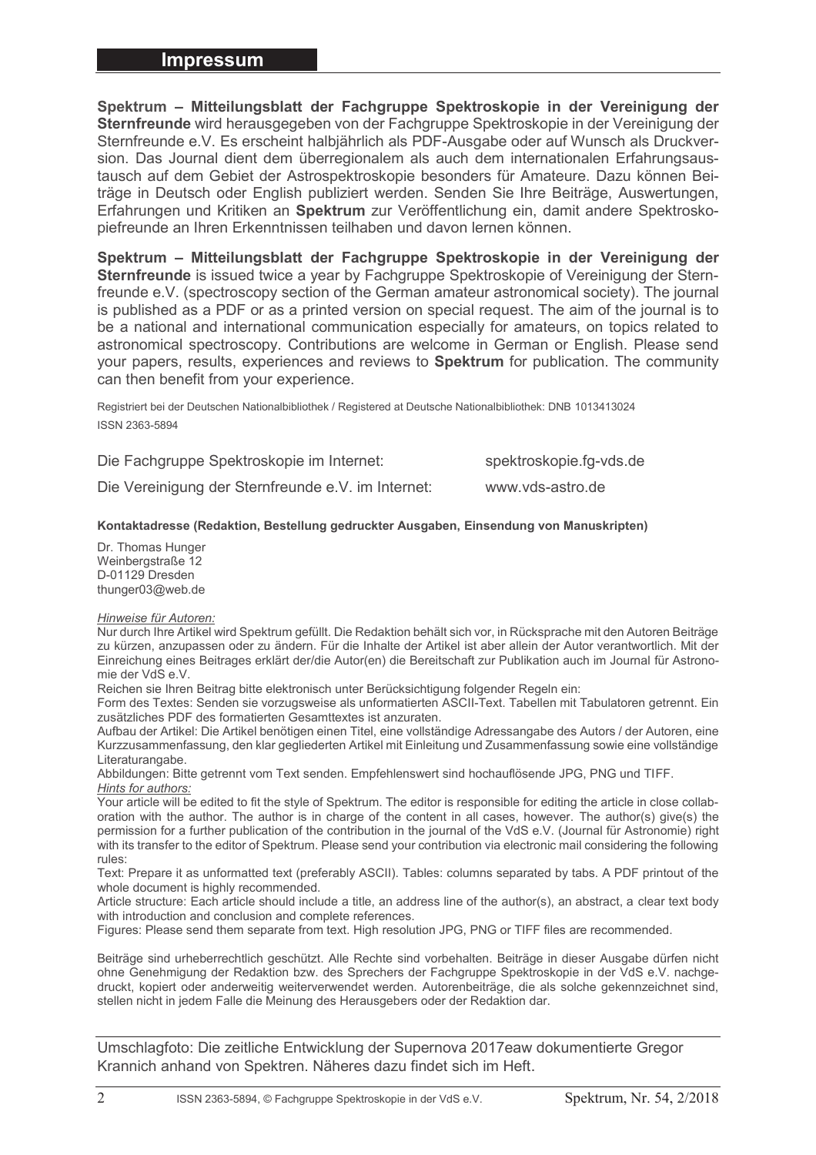**Spektrum – Mitteilungsblatt der Fachgruppe Spektroskopie in der Vereinigung der Sternfreunde** wird herausgegeben von der Fachgruppe Spektroskopie in der Vereinigung der Sternfreunde e.V. Es erscheint halbjährlich als PDF-Ausgabe oder auf Wunsch als Druckversion. Das Journal dient dem überregionalem als auch dem internationalen Erfahrungsaustausch auf dem Gebiet der Astrospektroskopie besonders für Amateure. Dazu können Beiträge in Deutsch oder English publiziert werden. Senden Sie Ihre Beiträge, Auswertungen, Erfahrungen und Kritiken an **Spektrum** zur Veröffentlichung ein, damit andere Spektroskopiefreunde an Ihren Erkenntnissen teilhaben und davon lernen können.

**Spektrum – Mitteilungsblatt der Fachgruppe Spektroskopie in der Vereinigung der Sternfreunde** is issued twice a year by Fachgruppe Spektroskopie of Vereinigung der Sternfreunde e.V. (spectroscopy section of the German amateur astronomical society). The journal is published as a PDF or as a printed version on special request. The aim of the journal is to be a national and international communication especially for amateurs, on topics related to astronomical spectroscopy. Contributions are welcome in German or English. Please send your papers, results, experiences and reviews to **Spektrum** for publication. The community can then benefit from your experience.

Registriert bei der Deutschen Nationalbibliothek / Registered at Deutsche Nationalbibliothek: DNB 1013413024 ISSN 2363-5894

| Die Fachgruppe Spektroskopie im Internet:          | spektroskopie.fg-vds.de |
|----------------------------------------------------|-------------------------|
| Die Vereinigung der Sternfreunde e.V. im Internet: | www.vds-astro.de        |

#### **Kontaktadresse (Redaktion, Bestellung gedruckter Ausgaben, Einsendung von Manuskripten)**

Dr. Thomas Hunger Weinbergstraße 12 D-01129 Dresden thunger03@web.de

#### *Hinweise für Autoren:*

Nur durch Ihre Artikel wird Spektrum gefüllt. Die Redaktion behält sich vor, in Rücksprache mit den Autoren Beiträge zu kürzen, anzupassen oder zu ändern. Für die Inhalte der Artikel ist aber allein der Autor verantwortlich. Mit der Einreichung eines Beitrages erklärt der/die Autor(en) die Bereitschaft zur Publikation auch im Journal für Astronomie der VdS e.V.

Reichen sie Ihren Beitrag bitte elektronisch unter Berücksichtigung folgender Regeln ein:

Form des Textes: Senden sie vorzugsweise als unformatierten ASCII-Text. Tabellen mit Tabulatoren getrennt. Ein zusätzliches PDF des formatierten Gesamttextes ist anzuraten.

Aufbau der Artikel: Die Artikel benötigen einen Titel, eine vollständige Adressangabe des Autors / der Autoren, eine Kurzzusammenfassung, den klar gegliederten Artikel mit Einleitung und Zusammenfassung sowie eine vollständige Literaturangabe.

Abbildungen: Bitte getrennt vom Text senden. Empfehlenswert sind hochauflösende JPG, PNG und TIFF. *Hints for authors:* 

Your article will be edited to fit the style of Spektrum. The editor is responsible for editing the article in close collaboration with the author. The author is in charge of the content in all cases, however. The author(s) give(s) the permission for a further publication of the contribution in the journal of the VdS e.V. (Journal für Astronomie) right with its transfer to the editor of Spektrum. Please send your contribution via electronic mail considering the following rules:

Text: Prepare it as unformatted text (preferably ASCII). Tables: columns separated by tabs. A PDF printout of the whole document is highly recommended.

Article structure: Each article should include a title, an address line of the author(s), an abstract, a clear text body with introduction and conclusion and complete references.

Figures: Please send them separate from text. High resolution JPG, PNG or TIFF files are recommended.

Beiträge sind urheberrechtlich geschützt. Alle Rechte sind vorbehalten. Beiträge in dieser Ausgabe dürfen nicht ohne Genehmigung der Redaktion bzw. des Sprechers der Fachgruppe Spektroskopie in der VdS e.V. nachgedruckt, kopiert oder anderweitig weiterverwendet werden. Autorenbeiträge, die als solche gekennzeichnet sind, stellen nicht in jedem Falle die Meinung des Herausgebers oder der Redaktion dar.

Umschlagfoto: Die zeitliche Entwicklung der Supernova 2017eaw dokumentierte Gregor Krannich anhand von Spektren. Näheres dazu findet sich im Heft.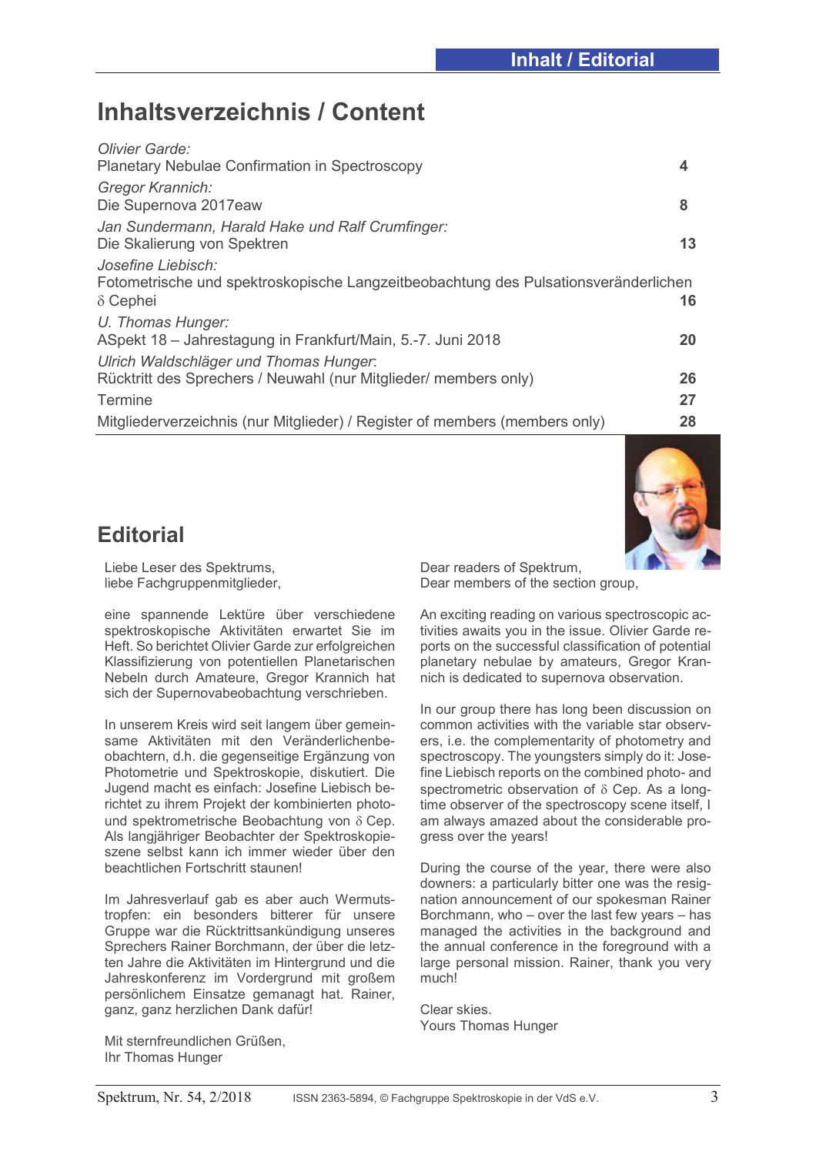# **Inhaltsverzeichnis / Content**

| Olivier Garde:                                                                      |    |
|-------------------------------------------------------------------------------------|----|
| Planetary Nebulae Confirmation in Spectroscopy                                      | 4  |
| Gregor Krannich:                                                                    |    |
| Die Supernova 2017eaw                                                               | 8  |
| Jan Sundermann, Harald Hake und Ralf Crumfinger:                                    |    |
| Die Skalierung von Spektren                                                         | 13 |
| Josefine Liebisch:                                                                  |    |
| Fotometrische und spektroskopische Langzeitbeobachtung des Pulsationsveränderlichen |    |
| $\delta$ Cephei                                                                     | 16 |
| U. Thomas Hunger:                                                                   |    |
| ASpekt 18 - Jahrestagung in Frankfurt/Main, 5.-7. Juni 2018                         | 20 |
| Ulrich Waldschläger und Thomas Hunger.                                              |    |
| Rücktritt des Sprechers / Neuwahl (nur Mitglieder/ members only)                    | 26 |
| Termine                                                                             | 27 |
| Mitgliederverzeichnis (nur Mitglieder) / Register of members (members only)         | 28 |
|                                                                                     |    |

# **Editorial**

Liebe Leser des Spektrums, liebe Fachgruppenmitglieder,

eine spannende Lektüre über verschiedene spektroskopische Aktivitäten erwartet Sie im Heft. So berichtet Olivier Garde zur erfolgreichen Klassifizierung von potentiellen Planetarischen Nebeln durch Amateure, Gregor Krannich hat sich der Supernovabeobachtung verschrieben.

In unserem Kreis wird seit langem über gemeinsame Aktivitäten mit den Veränderlichenbeobachtern, d.h. die gegenseitige Ergänzung von Photometrie und Spektroskopie, diskutiert. Die Jugend macht es einfach: Josefine Liebisch berichtet zu ihrem Projekt der kombinierten photound spektrometrische Beobachtung von  $\delta$  Cep. Als langjähriger Beobachter der Spektroskopieszene selbst kann ich immer wieder über den beachtlichen Fortschritt staunen!

Im Jahresverlauf gab es aber auch Wermutstropfen: ein besonders bitterer für unsere Gruppe war die Rücktrittsankündigung unseres Sprechers Rainer Borchmann, der über die letzten Jahre die Aktivitäten im Hintergrund und die Jahreskonferenz im Vordergrund mit großem persönlichem Einsatze gemanagt hat. Rainer, ganz, ganz herzlichen Dank dafür!

Mit sternfreundlichen Grüßen, Ihr Thomas Hunger

Dear readers of Spektrum, Dear members of the section group,

An exciting reading on various spectroscopic activities awaits you in the issue. Olivier Garde reports on the successful classification of potential planetary nebulae by amateurs, Gregor Krannich is dedicated to supernova observation.

In our group there has long been discussion on common activities with the variable star observers, i.e. the complementarity of photometry and spectroscopy. The youngsters simply do it: Josefine Liebisch reports on the combined photo- and spectrometric observation of  $\delta$  Cep. As a longtime observer of the spectroscopy scene itself, I am always amazed about the considerable progress over the years!

During the course of the year, there were also downers: a particularly bitter one was the resignation announcement of our spokesman Rainer Borchmann, who – over the last few years – has managed the activities in the background and the annual conference in the foreground with a large personal mission. Rainer, thank you very much!

Clear skies. Yours Thomas Hunger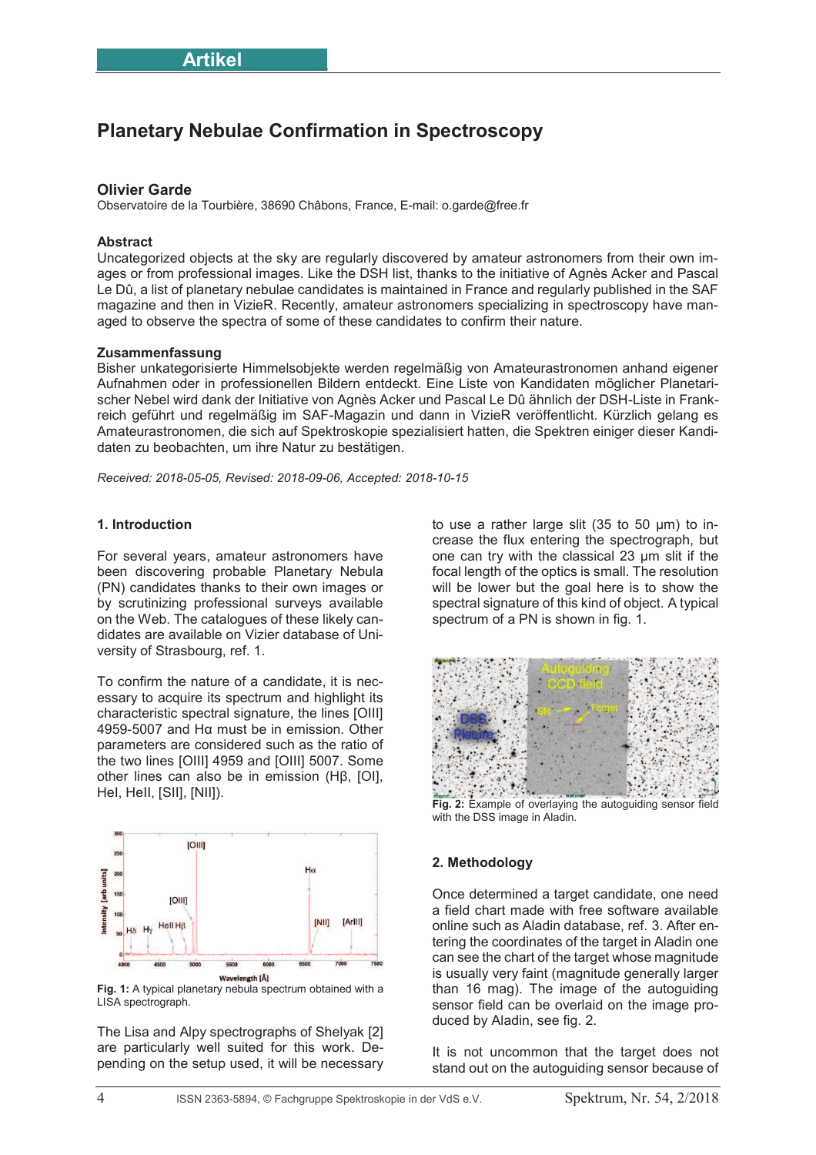# **Planetary Nebulae Confirmation in Spectroscopy**

### **Olivier Garde**

Observatoire de la Tourbière, 38690 Châbons, France, E-mail: o.garde@free.fr

#### **Abstract**

Uncategorized objects at the sky are regularly discovered by amateur astronomers from their own images or from professional images. Like the DSH list, thanks to the initiative of Agnès Acker and Pascal Le Dû, a list of planetary nebulae candidates is maintained in France and regularly published in the SAF magazine and then in VizieR. Recently, amateur astronomers specializing in spectroscopy have managed to observe the spectra of some of these candidates to confirm their nature.

#### **Zusammenfassung**

Bisher unkategorisierte Himmelsobjekte werden regelmäßig von Amateurastronomen anhand eigener Aufnahmen oder in professionellen Bildern entdeckt. Eine Liste von Kandidaten möglicher Planetarischer Nebel wird dank der Initiative von Agnès Acker und Pascal Le Dû ähnlich der DSH-Liste in Frankreich geführt und regelmäßig im SAF-Magazin und dann in VizieR veröffentlicht. Kürzlich gelang es Amateurastronomen, die sich auf Spektroskopie spezialisiert hatten, die Spektren einiger dieser Kandidaten zu beobachten, um ihre Natur zu bestätigen.

*Received: 2018-05-05, Revised: 2018-09-06, Accepted: 2018-10-15*

#### **1. Introduction**

For several years, amateur astronomers have been discovering probable Planetary Nebula (PN) candidates thanks to their own images or by scrutinizing professional surveys available on the Web. The catalogues of these likely candidates are available on Vizier database of University of Strasbourg, ref. 1.

To confirm the nature of a candidate, it is necessary to acquire its spectrum and highlight its characteristic spectral signature, the lines [OIII] 4959-5007 and Hα must be in emission. Other parameters are considered such as the ratio of the two lines [OIII] 4959 and [OIII] 5007. Some other lines can also be in emission (Hβ, [OI], HeI, HeII, [SII], [NII]).



**Fig. 1:** A typical planetary nebula spectrum obtained with a LISA spectrograph.

The Lisa and Alpy spectrographs of Shelyak [2] are particularly well suited for this work. Depending on the setup used, it will be necessary to use a rather large slit (35 to 50 μm) to increase the flux entering the spectrograph, but one can try with the classical 23 µm slit if the focal length of the optics is small. The resolution will be lower but the goal here is to show the spectral signature of this kind of object. A typical spectrum of a PN is shown in fig. 1.



**Fig. 2:** Example of overlaying the autoguiding sensor field with the DSS image in Aladin.

### **2. Methodology**

Once determined a target candidate, one need a field chart made with free software available online such as Aladin database, ref. 3. After entering the coordinates of the target in Aladin one can see the chart of the target whose magnitude is usually very faint (magnitude generally larger than 16 mag). The image of the autoguiding sensor field can be overlaid on the image produced by Aladin, see fig. 2.

It is not uncommon that the target does not stand out on the autoguiding sensor because of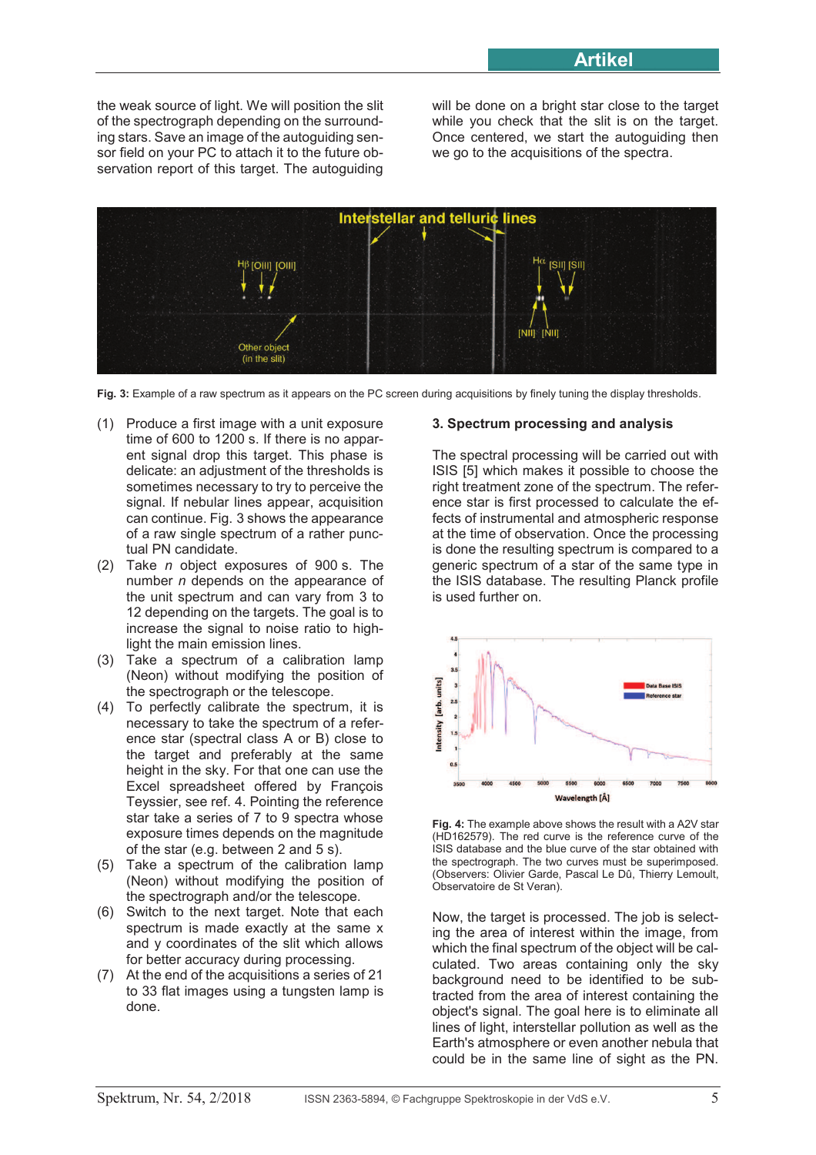the weak source of light. We will position the slit of the spectrograph depending on the surrounding stars. Save an image of the autoguiding sensor field on your PC to attach it to the future observation report of this target. The autoguiding

will be done on a bright star close to the target while you check that the slit is on the target. Once centered, we start the autoguiding then we go to the acquisitions of the spectra.



**Fig. 3:** Example of a raw spectrum as it appears on the PC screen during acquisitions by finely tuning the display thresholds.

- (1) Produce a first image with a unit exposure time of 600 to 1200 s. If there is no apparent signal drop this target. This phase is delicate: an adjustment of the thresholds is sometimes necessary to try to perceive the signal. If nebular lines appear, acquisition can continue. Fig. 3 shows the appearance of a raw single spectrum of a rather punctual PN candidate.
- (2) Take *n* object exposures of 900 s. The number *n* depends on the appearance of the unit spectrum and can vary from 3 to 12 depending on the targets. The goal is to increase the signal to noise ratio to highlight the main emission lines.
- (3) Take a spectrum of a calibration lamp (Neon) without modifying the position of the spectrograph or the telescope.
- (4) To perfectly calibrate the spectrum, it is necessary to take the spectrum of a reference star (spectral class A or B) close to the target and preferably at the same height in the sky. For that one can use the Excel spreadsheet offered by François Teyssier, see ref. 4. Pointing the reference star take a series of 7 to 9 spectra whose exposure times depends on the magnitude of the star (e.g. between 2 and 5 s).
- (5) Take a spectrum of the calibration lamp (Neon) without modifying the position of the spectrograph and/or the telescope.
- (6) Switch to the next target. Note that each spectrum is made exactly at the same x and y coordinates of the slit which allows for better accuracy during processing.
- (7) At the end of the acquisitions a series of 21 to 33 flat images using a tungsten lamp is done.

## **3. Spectrum processing and analysis**

The spectral processing will be carried out with ISIS [5] which makes it possible to choose the right treatment zone of the spectrum. The reference star is first processed to calculate the effects of instrumental and atmospheric response at the time of observation. Once the processing is done the resulting spectrum is compared to a generic spectrum of a star of the same type in the ISIS database. The resulting Planck profile is used further on.



**Fig. 4:** The example above shows the result with a A2V star (HD162579). The red curve is the reference curve of the ISIS database and the blue curve of the star obtained with the spectrograph. The two curves must be superimposed. (Observers: Olivier Garde, Pascal Le Dû, Thierry Lemoult, Observatoire de St Veran).

Now, the target is processed. The job is selecting the area of interest within the image, from which the final spectrum of the object will be calculated. Two areas containing only the sky background need to be identified to be subtracted from the area of interest containing the object's signal. The goal here is to eliminate all lines of light, interstellar pollution as well as the Earth's atmosphere or even another nebula that could be in the same line of sight as the PN.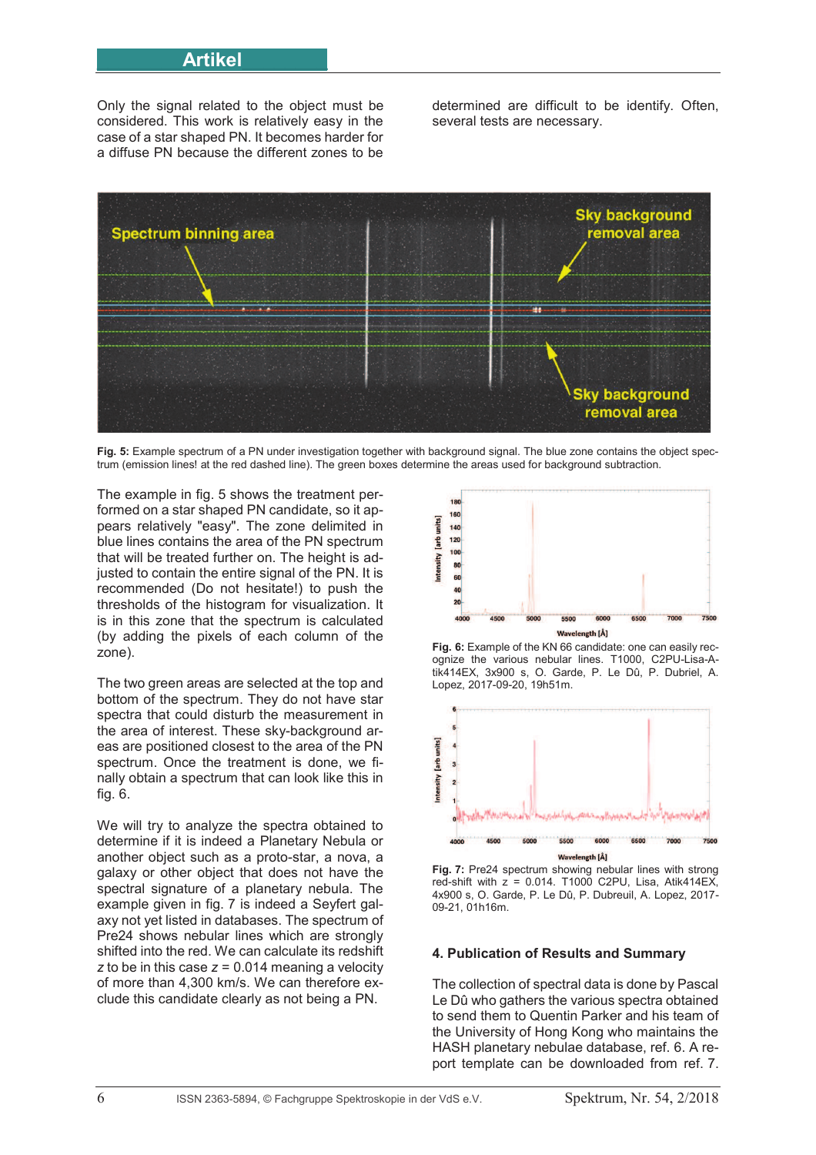# **\_\_\_\_\_\_\_\_Artikel\_\_\_\_\_\_\_\_**

Only the signal related to the object must be considered. This work is relatively easy in the case of a star shaped PN. It becomes harder for a diffuse PN because the different zones to be determined are difficult to be identify. Often, several tests are necessary.



**Fig. 5:** Example spectrum of a PN under investigation together with background signal. The blue zone contains the object spectrum (emission lines! at the red dashed line). The green boxes determine the areas used for background subtraction.

The example in fig. 5 shows the treatment performed on a star shaped PN candidate, so it appears relatively "easy". The zone delimited in blue lines contains the area of the PN spectrum that will be treated further on. The height is adjusted to contain the entire signal of the PN. It is recommended (Do not hesitate!) to push the thresholds of the histogram for visualization. It is in this zone that the spectrum is calculated (by adding the pixels of each column of the zone).

The two green areas are selected at the top and bottom of the spectrum. They do not have star spectra that could disturb the measurement in the area of interest. These sky-background areas are positioned closest to the area of the PN spectrum. Once the treatment is done, we finally obtain a spectrum that can look like this in fig. 6.

We will try to analyze the spectra obtained to determine if it is indeed a Planetary Nebula or another object such as a proto-star, a nova, a galaxy or other object that does not have the spectral signature of a planetary nebula. The example given in fig. 7 is indeed a Seyfert galaxy not yet listed in databases. The spectrum of Pre24 shows nebular lines which are strongly shifted into the red. We can calculate its redshift *z* to be in this case *z* = 0.014 meaning a velocity of more than 4,300 km/s. We can therefore exclude this candidate clearly as not being a PN.



**Fig. 6:** Example of the KN 66 candidate: one can easily recognize the various nebular lines. T1000, C2PU-Lisa-Atik414EX, 3x900 s, O. Garde, P. Le Dû, P. Dubriel, A. Lopez, 2017-09-20, 19h51m.



**Fig. 7:** Pre24 spectrum showing nebular lines with strong red-shift with  $z = 0.014$ . T1000 C2PU, Lisa, Atik414EX. 4x900 s, O. Garde, P. Le Dû, P. Dubreuil, A. Lopez, 2017- 09-21, 01h16m.

#### **4. Publication of Results and Summary**

The collection of spectral data is done by Pascal Le Dû who gathers the various spectra obtained to send them to Quentin Parker and his team of the University of Hong Kong who maintains the HASH planetary nebulae database, ref. 6. A report template can be downloaded from ref. 7.